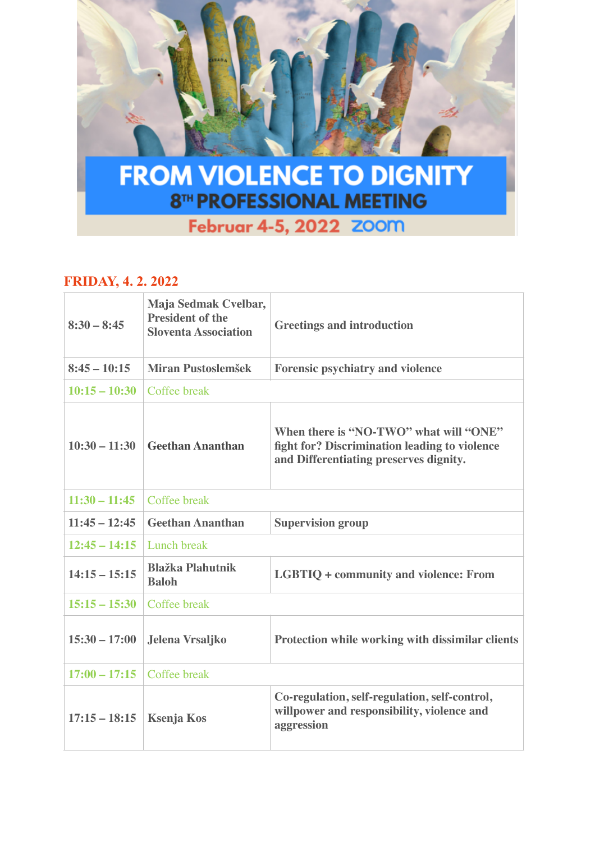

## Februar 4-5, 2022 ZOOM

## **FRIDAY, 4. 2. 2022**

| $8:30 - 8:45$   | Maja Sedmak Cvelbar,<br><b>President of the</b><br><b>Sloventa Association</b> | <b>Greetings and introduction</b>                                                                                                 |
|-----------------|--------------------------------------------------------------------------------|-----------------------------------------------------------------------------------------------------------------------------------|
| $8:45 - 10:15$  | Miran Pustoslemšek                                                             | <b>Forensic psychiatry and violence</b>                                                                                           |
| $10:15 - 10:30$ | Coffee break                                                                   |                                                                                                                                   |
| $10:30 - 11:30$ | <b>Geethan Ananthan</b>                                                        | When there is "NO-TWO" what will "ONE"<br>fight for? Discrimination leading to violence<br>and Differentiating preserves dignity. |
| $11:30 - 11:45$ | Coffee break                                                                   |                                                                                                                                   |
| $11:45 - 12:45$ | <b>Geethan Ananthan</b>                                                        | <b>Supervision group</b>                                                                                                          |
| $12:45 - 14:15$ | Lunch break                                                                    |                                                                                                                                   |
| $14:15 - 15:15$ | <b>Blažka Plahutnik</b><br><b>Baloh</b>                                        | <b>LGBTIQ + community and violence: From</b>                                                                                      |
| $15:15 - 15:30$ | Coffee break                                                                   |                                                                                                                                   |
| $15:30 - 17:00$ | Jelena Vrsaljko                                                                | Protection while working with dissimilar clients                                                                                  |
| $17:00 - 17:15$ | Coffee break                                                                   |                                                                                                                                   |
| $17:15 - 18:15$ | <b>Ksenja Kos</b>                                                              | Co-regulation, self-regulation, self-control,<br>willpower and responsibility, violence and<br>aggression                         |